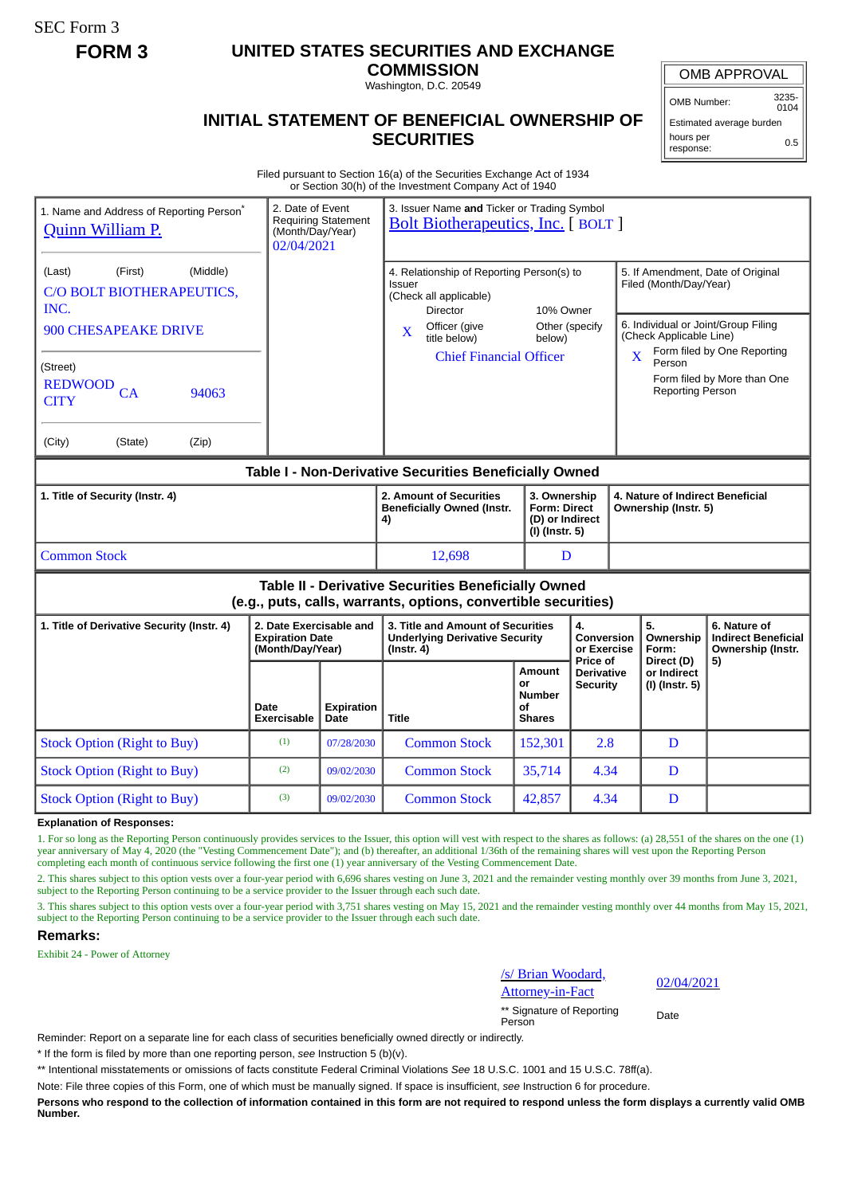SEC Form 3

# **FORM 3 UNITED STATES SECURITIES AND EXCHANGE**

**COMMISSION** Washington, D.C. 20549

## **INITIAL STATEMENT OF BENEFICIAL OWNERSHIP OF SECURITIES**

Estimated average burden hours per response:

OMB APPROVAL OMB Number: 3235-

 $0104$ 

0.5

Filed pursuant to Section 16(a) of the Securities Exchange Act of 1934 or Section 30(h) of the Investment Company Act of 1940

| 1. Name and Address of Reporting Person <sup>®</sup><br>Quinn William P.                                              |                                                                       | 3. Issuer Name and Ticker or Trading Symbol<br>2. Date of Event<br><b>Requiring Statement</b><br><b>Bolt Biotherapeutics, Inc.</b> [BOLT ]<br>(Month/Day/Year)<br>02/04/2021 |                                                                                                  |                                                      |                                                  |                                                             |                                                                                               |                                                                 |  |
|-----------------------------------------------------------------------------------------------------------------------|-----------------------------------------------------------------------|------------------------------------------------------------------------------------------------------------------------------------------------------------------------------|--------------------------------------------------------------------------------------------------|------------------------------------------------------|--------------------------------------------------|-------------------------------------------------------------|-----------------------------------------------------------------------------------------------|-----------------------------------------------------------------|--|
| (First)<br>(Middle)<br>(Last)<br>C/O BOLT BIOTHERAPEUTICS,<br>INC.                                                    |                                                                       |                                                                                                                                                                              | 4. Relationship of Reporting Person(s) to<br>Issuer<br>(Check all applicable)<br><b>Director</b> | 10% Owner                                            |                                                  | 5. If Amendment, Date of Original<br>Filed (Month/Day/Year) |                                                                                               |                                                                 |  |
| <b>900 CHESAPEAKE DRIVE</b>                                                                                           |                                                                       |                                                                                                                                                                              | Officer (give<br>X<br>title below)                                                               | below)                                               | Other (specify                                   |                                                             | 6. Individual or Joint/Group Filing<br>(Check Applicable Line)<br>Form filed by One Reporting |                                                                 |  |
| (Street)<br><b>REDWOOD</b><br>CA<br>94063<br><b>CITY</b>                                                              |                                                                       |                                                                                                                                                                              | <b>Chief Financial Officer</b>                                                                   |                                                      |                                                  | $\mathbf{X}$                                                | Person<br><b>Reporting Person</b>                                                             | Form filed by More than One                                     |  |
| (City)<br>(State)<br>(Zip)                                                                                            |                                                                       |                                                                                                                                                                              |                                                                                                  |                                                      |                                                  |                                                             |                                                                                               |                                                                 |  |
| Table I - Non-Derivative Securities Beneficially Owned                                                                |                                                                       |                                                                                                                                                                              |                                                                                                  |                                                      |                                                  |                                                             |                                                                                               |                                                                 |  |
| 1. Title of Security (Instr. 4)                                                                                       |                                                                       |                                                                                                                                                                              | 2. Amount of Securities<br><b>Beneficially Owned (Instr.</b><br>4)                               | <b>Form: Direct</b><br>(I) (Instr. 5)                | 3. Ownership<br>(D) or Indirect                  |                                                             | 4. Nature of Indirect Beneficial<br>Ownership (Instr. 5)                                      |                                                                 |  |
| <b>Common Stock</b>                                                                                                   |                                                                       |                                                                                                                                                                              | 12,698                                                                                           |                                                      | D                                                |                                                             |                                                                                               |                                                                 |  |
| Table II - Derivative Securities Beneficially Owned<br>(e.g., puts, calls, warrants, options, convertible securities) |                                                                       |                                                                                                                                                                              |                                                                                                  |                                                      |                                                  |                                                             |                                                                                               |                                                                 |  |
| 1. Title of Derivative Security (Instr. 4)                                                                            | 2. Date Exercisable and<br><b>Expiration Date</b><br>(Month/Day/Year) |                                                                                                                                                                              | 3. Title and Amount of Securities<br><b>Underlying Derivative Security</b><br>$($ Instr. 4 $)$   |                                                      | 4.<br>Conversion<br>or Exercise                  |                                                             | 5.<br>Ownership<br>Form:                                                                      | 6. Nature of<br><b>Indirect Beneficial</b><br>Ownership (Instr. |  |
|                                                                                                                       | Date<br><b>Exercisable</b>                                            | <b>Expiration</b><br>Date                                                                                                                                                    | <b>Title</b>                                                                                     | Amount<br>or<br><b>Number</b><br>οf<br><b>Shares</b> | Price of<br><b>Derivative</b><br><b>Security</b> |                                                             | Direct (D)<br>or Indirect<br>(I) (Instr. 5)                                                   | 5)                                                              |  |
| <b>Stock Option (Right to Buy)</b>                                                                                    | (1)                                                                   | 07/28/2030                                                                                                                                                                   | <b>Common Stock</b>                                                                              | 152,301                                              | 2.8                                              |                                                             | D                                                                                             |                                                                 |  |
| <b>Stock Option (Right to Buy)</b>                                                                                    | (2)                                                                   | 09/02/2030                                                                                                                                                                   | <b>Common Stock</b>                                                                              | 35,714                                               | 4.34                                             |                                                             | D                                                                                             |                                                                 |  |
| <b>Stock Option (Right to Buy)</b>                                                                                    | (3)                                                                   | 09/02/2030                                                                                                                                                                   | <b>Common Stock</b>                                                                              | 42,857                                               | 4.34                                             |                                                             | D                                                                                             |                                                                 |  |

#### **Explanation of Responses:**

1. For so long as the Reporting Person continuously provides services to the Issuer, this option will vest with respect to the shares as follows: (a) 28,551 of the shares on the one (1) year anniversary of May 4, 2020 (the "Vesting Commencement Date"); and (b) thereafter, an additional 1/36th of the remaining shares will vest upon the Reporting Person completing each month of continuous service following the first one (1) year anniversary of the Vesting Commencement Date.

2. This shares subject to this option vests over a four-year period with 6,696 shares vesting on June 3, 2021 and the remainder vesting monthly over 39 months from June 3, 2021, subject to the Reporting Person continuing to be a service provider to the Issuer through each such date.

3. This shares subject to this option vests over a four-year period with 3,751 shares vesting on May 15, 2021 and the remainder vesting monthly over 44 months from May 15, 2021, subject to the Reporting Person continuing to be a service provider to the Issuer through each such date.

#### **Remarks:**

Exhibit 24 - Power of Attorney

/s/ Brian Woodard, Attorney-in-Fact 02/04/2021

\*\* Signature of Reporting Person Date

Reminder: Report on a separate line for each class of securities beneficially owned directly or indirectly.

\* If the form is filed by more than one reporting person, *see* Instruction 5 (b)(v).

\*\* Intentional misstatements or omissions of facts constitute Federal Criminal Violations *See* 18 U.S.C. 1001 and 15 U.S.C. 78ff(a).

Note: File three copies of this Form, one of which must be manually signed. If space is insufficient, *see* Instruction 6 for procedure.

**Persons who respond to the collection of information contained in this form are not required to respond unless the form displays a currently valid OMB Number.**